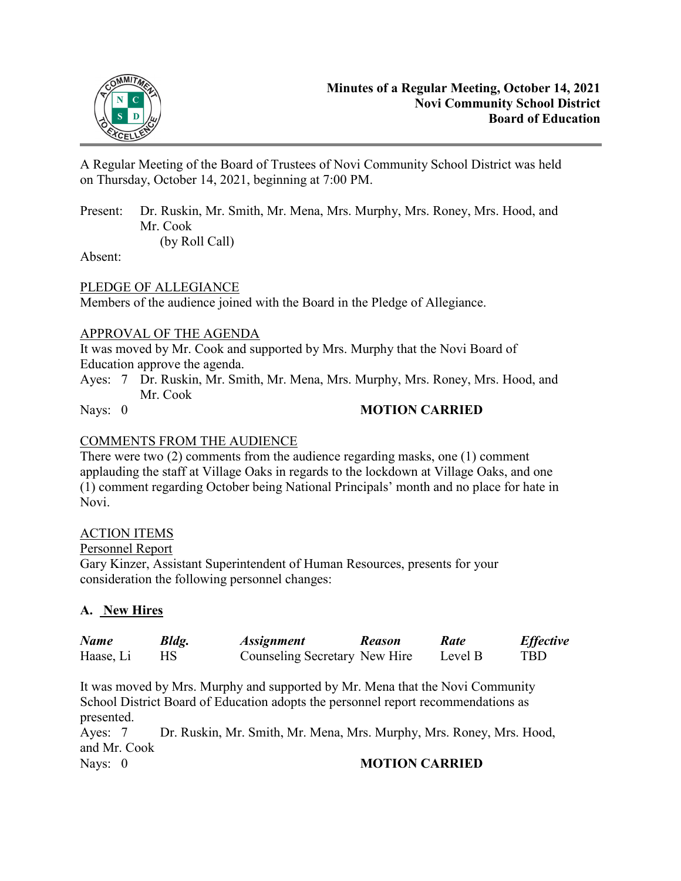

A Regular Meeting of the Board of Trustees of Novi Community School District was held on Thursday, October 14, 2021, beginning at 7:00 PM.

Present: Dr. Ruskin, Mr. Smith, Mr. Mena, Mrs. Murphy, Mrs. Roney, Mrs. Hood, and Mr. Cook

(by Roll Call)

Absent:

PLEDGE OF ALLEGIANCE

Members of the audience joined with the Board in the Pledge of Allegiance.

# APPROVAL OF THE AGENDA

It was moved by Mr. Cook and supported by Mrs. Murphy that the Novi Board of Education approve the agenda.

Ayes: 7 Dr. Ruskin, Mr. Smith, Mr. Mena, Mrs. Murphy, Mrs. Roney, Mrs. Hood, and Mr. Cook

# Nays: 0 **MOTION CARRIED**

# COMMENTS FROM THE AUDIENCE

There were two (2) comments from the audience regarding masks, one (1) comment applauding the staff at Village Oaks in regards to the lockdown at Village Oaks, and one (1) comment regarding October being National Principals' month and no place for hate in Novi.

## ACTION ITEMS

## Personnel Report

Gary Kinzer, Assistant Superintendent of Human Resources, presents for your consideration the following personnel changes:

# **A. New Hires**

| <b>Name</b> | Bldg. | <i><b>Assignment</b></i>      | Reason | Rate    | <b>Effective</b> |
|-------------|-------|-------------------------------|--------|---------|------------------|
| Haase, Li   |       | Counseling Secretary New Hire |        | Level B | TBD.             |

It was moved by Mrs. Murphy and supported by Mr. Mena that the Novi Community School District Board of Education adopts the personnel report recommendations as presented.

Ayes: 7 Dr. Ruskin, Mr. Smith, Mr. Mena, Mrs. Murphy, Mrs. Roney, Mrs. Hood, and Mr. Cook Nays: 0 **MOTION CARRIED**